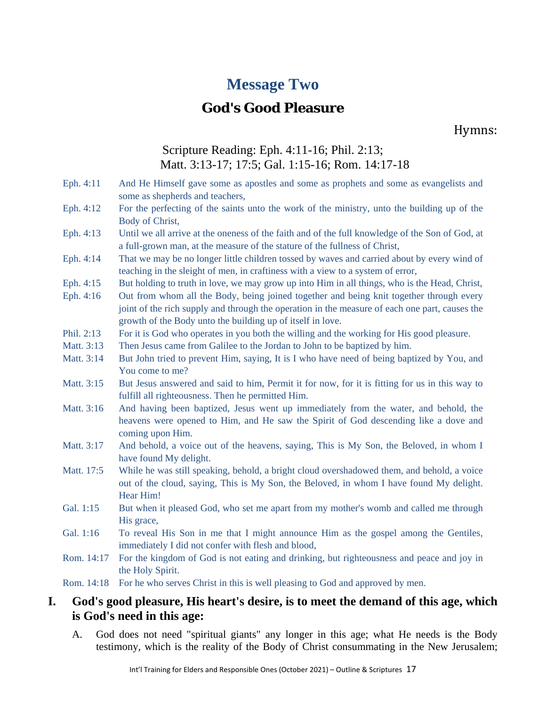# **Message Two**

# **God's Good Pleasure**

Hymns:

## Scripture Reading: Eph. 4:11-16; Phil. 2:13; Matt. 3:13-17; 17:5; Gal. 1:15-16; Rom. 14:17-18

- Eph. 4:11 And He Himself gave some as apostles and some as prophets and some as evangelists and some as shepherds and teachers,
- Eph. 4:12 For the perfecting of the saints unto the work of the ministry, unto the building up of the Body of Christ,
- Eph. 4:13 Until we all arrive at the oneness of the faith and of the full knowledge of the Son of God, at a full-grown man, at the measure of the stature of the fullness of Christ,
- Eph. 4:14 That we may be no longer little children tossed by waves and carried about by every wind of teaching in the sleight of men, in craftiness with a view to a system of error,
- Eph. 4:15 But holding to truth in love, we may grow up into Him in all things, who is the Head, Christ,
- Eph. 4:16 Out from whom all the Body, being joined together and being knit together through every joint of the rich supply and through the operation in the measure of each one part, causes the growth of the Body unto the building up of itself in love.
- Phil. 2:13 For it is God who operates in you both the willing and the working for His good pleasure.
- Matt. 3:13 Then Jesus came from Galilee to the Jordan to John to be baptized by him.
- Matt. 3:14 But John tried to prevent Him, saying, It is I who have need of being baptized by You, and You come to me?
- Matt. 3:15 But Jesus answered and said to him, Permit it for now, for it is fitting for us in this way to fulfill all righteousness. Then he permitted Him.
- Matt. 3:16 And having been baptized, Jesus went up immediately from the water, and behold, the heavens were opened to Him, and He saw the Spirit of God descending like a dove and coming upon Him.
- Matt. 3:17 And behold, a voice out of the heavens, saying, This is My Son, the Beloved, in whom I have found My delight.
- Matt. 17:5 While he was still speaking, behold, a bright cloud overshadowed them, and behold, a voice out of the cloud, saying, This is My Son, the Beloved, in whom I have found My delight. Hear Him!
- Gal. 1:15 But when it pleased God, who set me apart from my mother's womb and called me through His grace,
- Gal. 1:16 To reveal His Son in me that I might announce Him as the gospel among the Gentiles, immediately I did not confer with flesh and blood,
- Rom. 14:17 For the kingdom of God is not eating and drinking, but righteousness and peace and joy in the Holy Spirit.

Rom. 14:18 For he who serves Christ in this is well pleasing to God and approved by men.

### **I. God's good pleasure, His heart's desire, is to meet the demand of this age, which is God's need in this age:**

A. God does not need "spiritual giants" any longer in this age; what He needs is the Body testimony, which is the reality of the Body of Christ consummating in the New Jerusalem;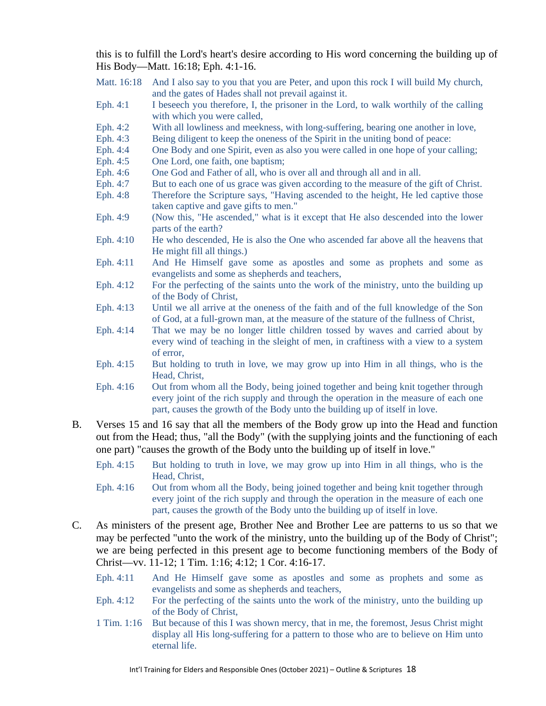this is to fulfill the Lord's heart's desire according to His word concerning the building up of His Body—Matt. 16:18; Eph. 4:1-16.

- Matt. 16:18 And I also say to you that you are Peter, and upon this rock I will build My church, and the gates of Hades shall not prevail against it.
- Eph. 4:1 I beseech you therefore, I, the prisoner in the Lord, to walk worthily of the calling with which you were called,
- Eph. 4:2 With all lowliness and meekness, with long-suffering, bearing one another in love,
- Eph. 4:3 Being diligent to keep the oneness of the Spirit in the uniting bond of peace:
- Eph. 4:4 One Body and one Spirit, even as also you were called in one hope of your calling;
- Eph. 4:5 One Lord, one faith, one baptism;
- Eph. 4:6 One God and Father of all, who is over all and through all and in all.
- Eph. 4:7 But to each one of us grace was given according to the measure of the gift of Christ. Eph. 4:8 Therefore the Scripture says, "Having ascended to the height, He led captive those
- taken captive and gave gifts to men."
- Eph. 4:9 (Now this, "He ascended," what is it except that He also descended into the lower parts of the earth?
- Eph. 4:10 He who descended, He is also the One who ascended far above all the heavens that He might fill all things.)
- Eph. 4:11 And He Himself gave some as apostles and some as prophets and some as evangelists and some as shepherds and teachers,
- Eph. 4:12 For the perfecting of the saints unto the work of the ministry, unto the building up of the Body of Christ,
- Eph. 4:13 Until we all arrive at the oneness of the faith and of the full knowledge of the Son of God, at a full-grown man, at the measure of the stature of the fullness of Christ,
- Eph. 4:14 That we may be no longer little children tossed by waves and carried about by every wind of teaching in the sleight of men, in craftiness with a view to a system of error,
- Eph. 4:15 But holding to truth in love, we may grow up into Him in all things, who is the Head, Christ,
- Eph. 4:16 Out from whom all the Body, being joined together and being knit together through every joint of the rich supply and through the operation in the measure of each one part, causes the growth of the Body unto the building up of itself in love.
- B. Verses 15 and 16 say that all the members of the Body grow up into the Head and function out from the Head; thus, "all the Body" (with the supplying joints and the functioning of each one part) "causes the growth of the Body unto the building up of itself in love."
	- Eph. 4:15 But holding to truth in love, we may grow up into Him in all things, who is the Head, Christ,
	- Eph. 4:16 Out from whom all the Body, being joined together and being knit together through every joint of the rich supply and through the operation in the measure of each one part, causes the growth of the Body unto the building up of itself in love.
- C. As ministers of the present age, Brother Nee and Brother Lee are patterns to us so that we may be perfected "unto the work of the ministry, unto the building up of the Body of Christ"; we are being perfected in this present age to become functioning members of the Body of Christ—vv. 11-12; 1 Tim. 1:16; 4:12; 1 Cor. 4:16-17.
	- Eph. 4:11 And He Himself gave some as apostles and some as prophets and some as evangelists and some as shepherds and teachers,
	- Eph. 4:12 For the perfecting of the saints unto the work of the ministry, unto the building up of the Body of Christ,
	- 1 Tim. 1:16 But because of this I was shown mercy, that in me, the foremost, Jesus Christ might display all His long-suffering for a pattern to those who are to believe on Him unto eternal life.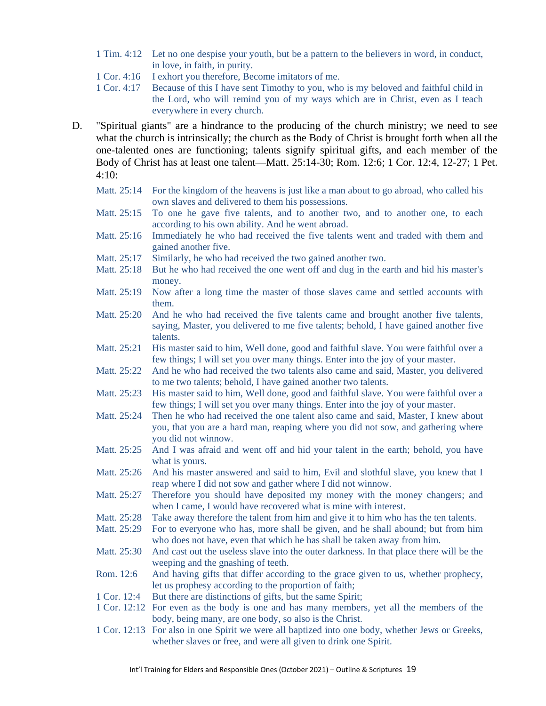- 1 Tim. 4:12 Let no one despise your youth, but be a pattern to the believers in word, in conduct, in love, in faith, in purity.
- 1 Cor. 4:16 I exhort you therefore, Become imitators of me.
- 1 Cor. 4:17 Because of this I have sent Timothy to you, who is my beloved and faithful child in the Lord, who will remind you of my ways which are in Christ, even as I teach everywhere in every church.
- D. "Spiritual giants" are a hindrance to the producing of the church ministry; we need to see what the church is intrinsically; the church as the Body of Christ is brought forth when all the one-talented ones are functioning; talents signify spiritual gifts, and each member of the Body of Christ has at least one talent—Matt. 25:14-30; Rom. 12:6; 1 Cor. 12:4, 12-27; 1 Pet.  $4:10:$ 
	- Matt. 25:14 For the kingdom of the heavens is just like a man about to go abroad, who called his own slaves and delivered to them his possessions.
	- Matt. 25:15 To one he gave five talents, and to another two, and to another one, to each according to his own ability. And he went abroad.
	- Matt. 25:16 Immediately he who had received the five talents went and traded with them and gained another five.
	- Matt. 25:17 Similarly, he who had received the two gained another two.
	- Matt. 25:18 But he who had received the one went off and dug in the earth and hid his master's money.
	- Matt. 25:19 Now after a long time the master of those slaves came and settled accounts with them.
	- Matt. 25:20 And he who had received the five talents came and brought another five talents, saying, Master, you delivered to me five talents; behold, I have gained another five talents.
	- Matt. 25:21 His master said to him, Well done, good and faithful slave. You were faithful over a few things; I will set you over many things. Enter into the joy of your master.
	- Matt. 25:22 And he who had received the two talents also came and said, Master, you delivered to me two talents; behold, I have gained another two talents.
	- Matt. 25:23 His master said to him, Well done, good and faithful slave. You were faithful over a few things; I will set you over many things. Enter into the joy of your master.
	- Matt. 25:24 Then he who had received the one talent also came and said, Master, I knew about you, that you are a hard man, reaping where you did not sow, and gathering where you did not winnow.
	- Matt. 25:25 And I was afraid and went off and hid your talent in the earth; behold, you have what is yours.
	- Matt. 25:26 And his master answered and said to him, Evil and slothful slave, you knew that I reap where I did not sow and gather where I did not winnow.
	- Matt. 25:27 Therefore you should have deposited my money with the money changers; and when I came. I would have recovered what is mine with interest.
	- Matt. 25:28 Take away therefore the talent from him and give it to him who has the ten talents.
	- Matt. 25:29 For to everyone who has, more shall be given, and he shall abound; but from him who does not have, even that which he has shall be taken away from him.
	- Matt. 25:30 And cast out the useless slave into the outer darkness. In that place there will be the weeping and the gnashing of teeth.
	- Rom. 12:6 And having gifts that differ according to the grace given to us, whether prophecy, let us prophesy according to the proportion of faith;
	- 1 Cor. 12:4 But there are distinctions of gifts, but the same Spirit;
	- 1 Cor. 12:12 For even as the body is one and has many members, yet all the members of the body, being many, are one body, so also is the Christ.
	- 1 Cor. 12:13 For also in one Spirit we were all baptized into one body, whether Jews or Greeks, whether slaves or free, and were all given to drink one Spirit.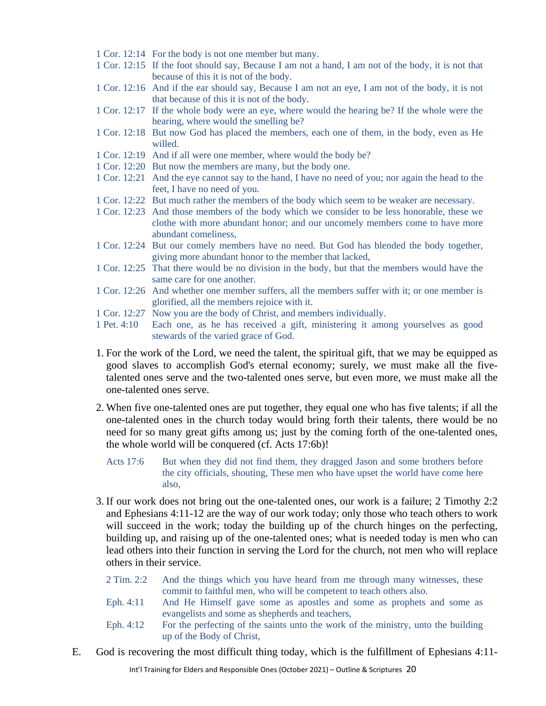- 1 Cor. 12:14 For the body is not one member but many.
- 1 Cor. 12:15 If the foot should say, Because I am not a hand, I am not of the body, it is not that because of this it is not of the body.
- 1 Cor. 12:16 And if the ear should say, Because I am not an eye, I am not of the body, it is not that because of this it is not of the body.
- 1 Cor. 12:17 If the whole body were an eye, where would the hearing be? If the whole were the hearing, where would the smelling be?
- 1 Cor. 12:18 But now God has placed the members, each one of them, in the body, even as He willed.
- 1 Cor. 12:19 And if all were one member, where would the body be?
- 1 Cor. 12:20 But now the members are many, but the body one.
- 1 Cor. 12:21 And the eye cannot say to the hand, I have no need of you; nor again the head to the feet, I have no need of you.
- 1 Cor. 12:22 But much rather the members of the body which seem to be weaker are necessary.
- 1 Cor. 12:23 And those members of the body which we consider to be less honorable, these we clothe with more abundant honor; and our uncomely members come to have more abundant comeliness,
- 1 Cor. 12:24 But our comely members have no need. But God has blended the body together, giving more abundant honor to the member that lacked,
- 1 Cor. 12:25 That there would be no division in the body, but that the members would have the same care for one another.
- 1 Cor. 12:26 And whether one member suffers, all the members suffer with it; or one member is glorified, all the members rejoice with it.
- 1 Cor. 12:27 Now you are the body of Christ, and members individually.
- 1 Pet. 4:10 Each one, as he has received a gift, ministering it among yourselves as good stewards of the varied grace of God.
- 1. For the work of the Lord, we need the talent, the spiritual gift, that we may be equipped as good slaves to accomplish God's eternal economy; surely, we must make all the fivetalented ones serve and the two-talented ones serve, but even more, we must make all the one-talented ones serve.
- 2. When five one-talented ones are put together, they equal one who has five talents; if all the one-talented ones in the church today would bring forth their talents, there would be no need for so many great gifts among us; just by the coming forth of the one-talented ones, the whole world will be conquered (cf. Acts 17:6b)!
	- Acts 17:6 But when they did not find them, they dragged Jason and some brothers before the city officials, shouting, These men who have upset the world have come here also,
- 3. If our work does not bring out the one-talented ones, our work is a failure; 2 Timothy 2:2 and Ephesians 4:11-12 are the way of our work today; only those who teach others to work will succeed in the work; today the building up of the church hinges on the perfecting, building up, and raising up of the one-talented ones; what is needed today is men who can lead others into their function in serving the Lord for the church, not men who will replace others in their service.
	- 2 Tim. 2:2 And the things which you have heard from me through many witnesses, these commit to faithful men, who will be competent to teach others also.
	- Eph. 4:11 And He Himself gave some as apostles and some as prophets and some as evangelists and some as shepherds and teachers,
	- Eph. 4:12 For the perfecting of the saints unto the work of the ministry, unto the building up of the Body of Christ,
- E. God is recovering the most difficult thing today, which is the fulfillment of Ephesians 4:11-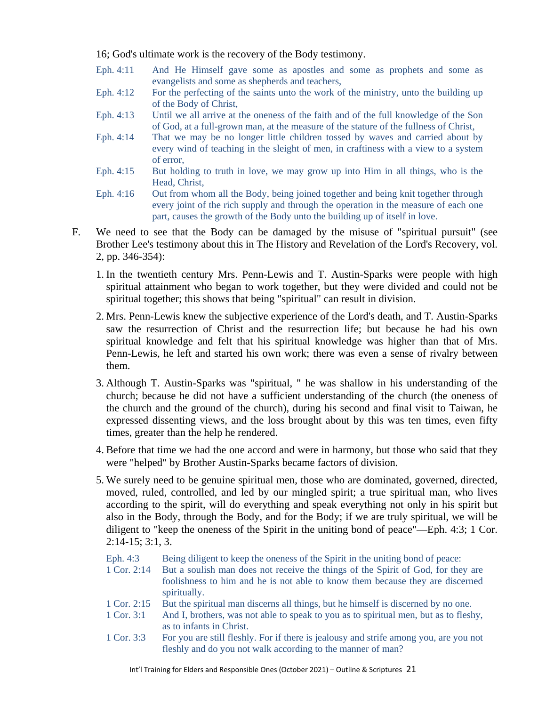16; God's ultimate work is the recovery of the Body testimony.

- Eph. 4:11 And He Himself gave some as apostles and some as prophets and some as evangelists and some as shepherds and teachers,
- Eph. 4:12 For the perfecting of the saints unto the work of the ministry, unto the building up of the Body of Christ,
- Eph. 4:13 Until we all arrive at the oneness of the faith and of the full knowledge of the Son of God, at a full-grown man, at the measure of the stature of the fullness of Christ,
- Eph. 4:14 That we may be no longer little children tossed by waves and carried about by every wind of teaching in the sleight of men, in craftiness with a view to a system of error,
- Eph. 4:15 But holding to truth in love, we may grow up into Him in all things, who is the Head, Christ,
- Eph. 4:16 Out from whom all the Body, being joined together and being knit together through every joint of the rich supply and through the operation in the measure of each one part, causes the growth of the Body unto the building up of itself in love.
- F. We need to see that the Body can be damaged by the misuse of "spiritual pursuit" (see Brother Lee's testimony about this in The History and Revelation of the Lord's Recovery, vol. 2, pp. 346-354):
	- 1. In the twentieth century Mrs. Penn-Lewis and T. Austin-Sparks were people with high spiritual attainment who began to work together, but they were divided and could not be spiritual together; this shows that being "spiritual" can result in division.
	- 2. Mrs. Penn-Lewis knew the subjective experience of the Lord's death, and T. Austin-Sparks saw the resurrection of Christ and the resurrection life; but because he had his own spiritual knowledge and felt that his spiritual knowledge was higher than that of Mrs. Penn-Lewis, he left and started his own work; there was even a sense of rivalry between them.
	- 3. Although T. Austin-Sparks was "spiritual, " he was shallow in his understanding of the church; because he did not have a sufficient understanding of the church (the oneness of the church and the ground of the church), during his second and final visit to Taiwan, he expressed dissenting views, and the loss brought about by this was ten times, even fifty times, greater than the help he rendered.
	- 4. Before that time we had the one accord and were in harmony, but those who said that they were "helped" by Brother Austin-Sparks became factors of division.
	- 5. We surely need to be genuine spiritual men, those who are dominated, governed, directed, moved, ruled, controlled, and led by our mingled spirit; a true spiritual man, who lives according to the spirit, will do everything and speak everything not only in his spirit but also in the Body, through the Body, and for the Body; if we are truly spiritual, we will be diligent to "keep the oneness of the Spirit in the uniting bond of peace"—Eph. 4:3; 1 Cor. 2:14-15; 3:1, 3.

Eph. 4:3 Being diligent to keep the oneness of the Spirit in the uniting bond of peace:

- 1 Cor. 2:14 But a soulish man does not receive the things of the Spirit of God, for they are foolishness to him and he is not able to know them because they are discerned spiritually.
- 1 Cor. 2:15 But the spiritual man discerns all things, but he himself is discerned by no one.
- 1 Cor. 3:1 And I, brothers, was not able to speak to you as to spiritual men, but as to fleshy, as to infants in Christ.
- 1 Cor. 3:3 For you are still fleshly. For if there is jealousy and strife among you, are you not fleshly and do you not walk according to the manner of man?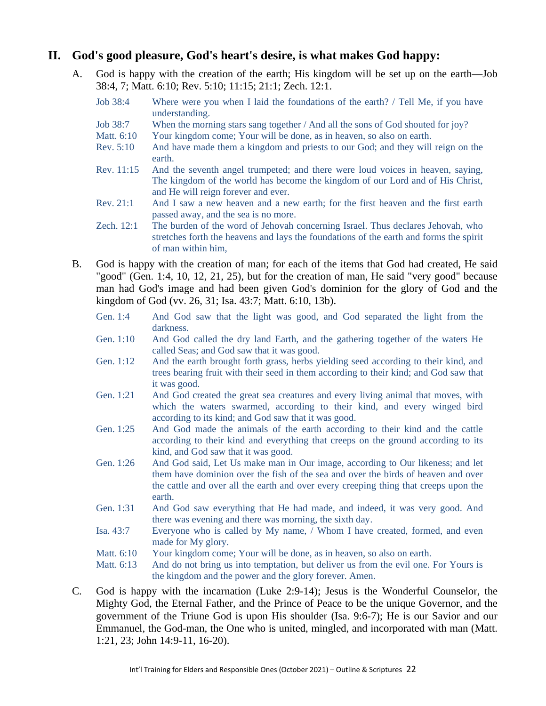### **II. God's good pleasure, God's heart's desire, is what makes God happy:**

- A. God is happy with the creation of the earth; His kingdom will be set up on the earth—Job 38:4, 7; Matt. 6:10; Rev. 5:10; 11:15; 21:1; Zech. 12:1.
	- Job 38:4 Where were you when I laid the foundations of the earth? / Tell Me, if you have understanding.
	- Job 38:7 When the morning stars sang together / And all the sons of God shouted for joy?
	- Matt.  $6:10$  Your kingdom come; Your will be done, as in heaven, so also on earth.
	- Rev. 5:10 And have made them a kingdom and priests to our God; and they will reign on the earth.
	- Rev. 11:15 And the seventh angel trumpeted; and there were loud voices in heaven, saying, The kingdom of the world has become the kingdom of our Lord and of His Christ, and He will reign forever and ever.
	- Rev. 21:1 And I saw a new heaven and a new earth; for the first heaven and the first earth passed away, and the sea is no more.
	- Zech. 12:1 The burden of the word of Jehovah concerning Israel. Thus declares Jehovah, who stretches forth the heavens and lays the foundations of the earth and forms the spirit of man within him,
- B. God is happy with the creation of man; for each of the items that God had created, He said "good" (Gen. 1:4, 10, 12, 21, 25), but for the creation of man, He said "very good" because man had God's image and had been given God's dominion for the glory of God and the kingdom of God (vv. 26, 31; Isa. 43:7; Matt. 6:10, 13b).
	- Gen. 1:4 And God saw that the light was good, and God separated the light from the darkness.
	- Gen. 1:10 And God called the dry land Earth, and the gathering together of the waters He called Seas; and God saw that it was good.
	- Gen. 1:12 And the earth brought forth grass, herbs yielding seed according to their kind, and trees bearing fruit with their seed in them according to their kind; and God saw that it was good.
	- Gen. 1:21 And God created the great sea creatures and every living animal that moves, with which the waters swarmed, according to their kind, and every winged bird according to its kind; and God saw that it was good.
	- Gen. 1:25 And God made the animals of the earth according to their kind and the cattle according to their kind and everything that creeps on the ground according to its kind, and God saw that it was good.
	- Gen. 1:26 And God said, Let Us make man in Our image, according to Our likeness; and let them have dominion over the fish of the sea and over the birds of heaven and over the cattle and over all the earth and over every creeping thing that creeps upon the earth.
	- Gen. 1:31 And God saw everything that He had made, and indeed, it was very good. And there was evening and there was morning, the sixth day.
	- Isa. 43:7 Everyone who is called by My name, / Whom I have created, formed, and even made for My glory.
	- Matt.  $6:10$  Your kingdom come; Your will be done, as in heaven, so also on earth.

Matt. 6:13 And do not bring us into temptation, but deliver us from the evil one. For Yours is the kingdom and the power and the glory forever. Amen.

C. God is happy with the incarnation (Luke 2:9-14); Jesus is the Wonderful Counselor, the Mighty God, the Eternal Father, and the Prince of Peace to be the unique Governor, and the government of the Triune God is upon His shoulder (Isa. 9:6-7); He is our Savior and our Emmanuel, the God-man, the One who is united, mingled, and incorporated with man (Matt. 1:21, 23; John 14:9-11, 16-20).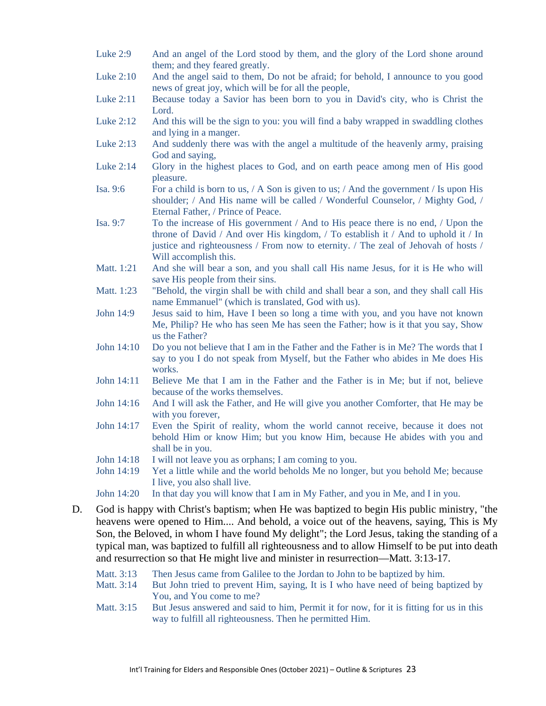- Luke 2:9 And an angel of the Lord stood by them, and the glory of the Lord shone around them; and they feared greatly.
- Luke 2:10 And the angel said to them, Do not be afraid; for behold, I announce to you good news of great joy, which will be for all the people,
- Luke 2:11 Because today a Savior has been born to you in David's city, who is Christ the Lord.
- Luke 2:12 And this will be the sign to you: you will find a baby wrapped in swaddling clothes and lying in a manger.
- Luke 2:13 And suddenly there was with the angel a multitude of the heavenly army, praising God and saying,
- Luke 2:14 Glory in the highest places to God, and on earth peace among men of His good pleasure.
- Isa. 9:6 For a child is born to us,  $/ A$  Son is given to us;  $/ A$ nd the government  $/ I$ s upon His shoulder; / And His name will be called / Wonderful Counselor, / Mighty God, / Eternal Father, / Prince of Peace.
- Isa. 9:7 To the increase of His government / And to His peace there is no end, / Upon the throne of David / And over His kingdom, / To establish it / And to uphold it / In justice and righteousness / From now to eternity. / The zeal of Jehovah of hosts / Will accomplish this.
- Matt. 1:21 And she will bear a son, and you shall call His name Jesus, for it is He who will save His people from their sins.
- Matt. 1:23 "Behold, the virgin shall be with child and shall bear a son, and they shall call His name Emmanuel" (which is translated, God with us).
- John 14:9 Jesus said to him, Have I been so long a time with you, and you have not known Me, Philip? He who has seen Me has seen the Father; how is it that you say, Show us the Father?
- John 14:10 Do you not believe that I am in the Father and the Father is in Me? The words that I say to you I do not speak from Myself, but the Father who abides in Me does His works.
- John 14:11 Believe Me that I am in the Father and the Father is in Me; but if not, believe because of the works themselves.
- John 14:16 And I will ask the Father, and He will give you another Comforter, that He may be with you forever,
- John 14:17 Even the Spirit of reality, whom the world cannot receive, because it does not behold Him or know Him; but you know Him, because He abides with you and shall be in you.
- John 14:18 I will not leave you as orphans; I am coming to you.
- John 14:19 Yet a little while and the world beholds Me no longer, but you behold Me; because I live, you also shall live.
- John 14:20 In that day you will know that I am in My Father, and you in Me, and I in you.
- D. God is happy with Christ's baptism; when He was baptized to begin His public ministry, "the heavens were opened to Him.... And behold, a voice out of the heavens, saying, This is My Son, the Beloved, in whom I have found My delight"; the Lord Jesus, taking the standing of a typical man, was baptized to fulfill all righteousness and to allow Himself to be put into death and resurrection so that He might live and minister in resurrection—Matt. 3:13-17.
	- Matt. 3:13 Then Jesus came from Galilee to the Jordan to John to be baptized by him.
	- Matt. 3:14 But John tried to prevent Him, saying, It is I who have need of being baptized by You, and You come to me?
	- Matt. 3:15 But Jesus answered and said to him, Permit it for now, for it is fitting for us in this way to fulfill all righteousness. Then he permitted Him.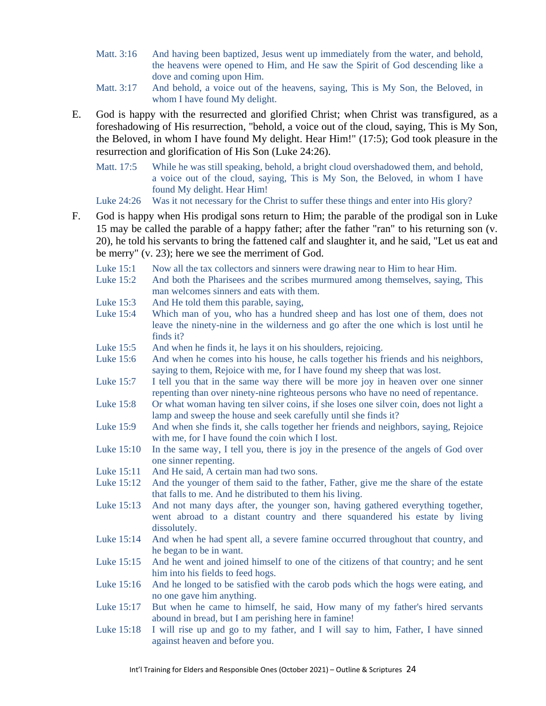- Matt. 3:16 And having been baptized, Jesus went up immediately from the water, and behold, the heavens were opened to Him, and He saw the Spirit of God descending like a dove and coming upon Him.
- Matt. 3:17 And behold, a voice out of the heavens, saying, This is My Son, the Beloved, in whom I have found My delight.
- E. God is happy with the resurrected and glorified Christ; when Christ was transfigured, as a foreshadowing of His resurrection, "behold, a voice out of the cloud, saying, This is My Son, the Beloved, in whom I have found My delight. Hear Him!" (17:5); God took pleasure in the resurrection and glorification of His Son (Luke 24:26).
	- Matt. 17:5 While he was still speaking, behold, a bright cloud overshadowed them, and behold, a voice out of the cloud, saying, This is My Son, the Beloved, in whom I have found My delight. Hear Him!

Luke 24:26 Was it not necessary for the Christ to suffer these things and enter into His glory?

- F. God is happy when His prodigal sons return to Him; the parable of the prodigal son in Luke 15 may be called the parable of a happy father; after the father "ran" to his returning son (v. 20), he told his servants to bring the fattened calf and slaughter it, and he said, "Let us eat and be merry" (v. 23); here we see the merriment of God.
	- Luke 15:1 Now all the tax collectors and sinners were drawing near to Him to hear Him.
	- Luke 15:2 And both the Pharisees and the scribes murmured among themselves, saying, This man welcomes sinners and eats with them.
	- Luke 15:3 And He told them this parable, saying,
	- Luke 15:4 Which man of you, who has a hundred sheep and has lost one of them, does not leave the ninety-nine in the wilderness and go after the one which is lost until he finds it?
	- Luke 15:5 And when he finds it, he lays it on his shoulders, rejoicing.
	- Luke 15:6 And when he comes into his house, he calls together his friends and his neighbors, saying to them, Rejoice with me, for I have found my sheep that was lost.
	- Luke 15:7 I tell you that in the same way there will be more joy in heaven over one sinner repenting than over ninety-nine righteous persons who have no need of repentance.
	- Luke 15:8 Or what woman having ten silver coins, if she loses one silver coin, does not light a lamp and sweep the house and seek carefully until she finds it?
	- Luke 15:9 And when she finds it, she calls together her friends and neighbors, saying, Rejoice with me, for I have found the coin which I lost.
	- Luke 15:10 In the same way, I tell you, there is joy in the presence of the angels of God over one sinner repenting.
	- Luke 15:11 And He said, A certain man had two sons.
	- Luke 15:12 And the younger of them said to the father, Father, give me the share of the estate that falls to me. And he distributed to them his living.
	- Luke 15:13 And not many days after, the younger son, having gathered everything together, went abroad to a distant country and there squandered his estate by living dissolutely.
	- Luke 15:14 And when he had spent all, a severe famine occurred throughout that country, and he began to be in want.
	- Luke 15:15 And he went and joined himself to one of the citizens of that country; and he sent him into his fields to feed hogs.
	- Luke 15:16 And he longed to be satisfied with the carob pods which the hogs were eating, and no one gave him anything.
	- Luke 15:17 But when he came to himself, he said, How many of my father's hired servants abound in bread, but I am perishing here in famine!
	- Luke 15:18 I will rise up and go to my father, and I will say to him, Father, I have sinned against heaven and before you.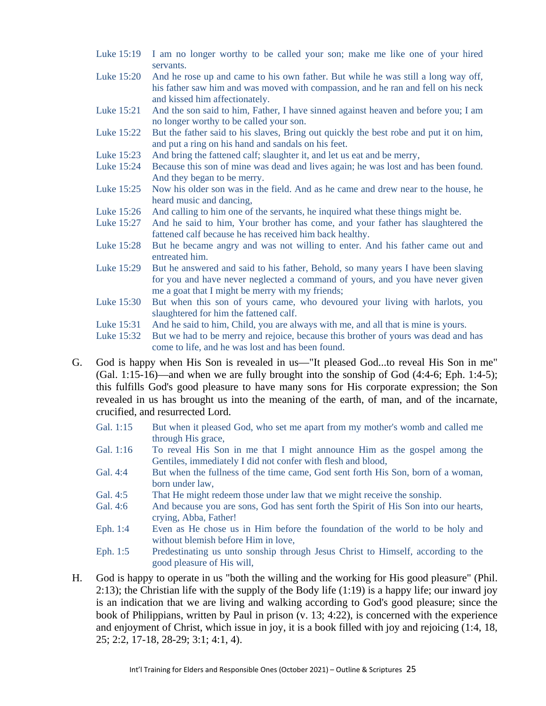- Luke 15:19 I am no longer worthy to be called your son; make me like one of your hired servants.
- Luke 15:20 And he rose up and came to his own father. But while he was still a long way off, his father saw him and was moved with compassion, and he ran and fell on his neck and kissed him affectionately.
- Luke 15:21 And the son said to him, Father, I have sinned against heaven and before you; I am no longer worthy to be called your son.
- Luke 15:22 But the father said to his slaves, Bring out quickly the best robe and put it on him, and put a ring on his hand and sandals on his feet.
- Luke 15:23 And bring the fattened calf; slaughter it, and let us eat and be merry,
- Luke 15:24 Because this son of mine was dead and lives again; he was lost and has been found. And they began to be merry.
- Luke 15:25 Now his older son was in the field. And as he came and drew near to the house, he heard music and dancing,
- Luke 15:26 And calling to him one of the servants, he inquired what these things might be.
- Luke 15:27 And he said to him, Your brother has come, and your father has slaughtered the fattened calf because he has received him back healthy.
- Luke 15:28 But he became angry and was not willing to enter. And his father came out and entreated him.
- Luke 15:29 But he answered and said to his father, Behold, so many years I have been slaving for you and have never neglected a command of yours, and you have never given me a goat that I might be merry with my friends;
- Luke 15:30 But when this son of yours came, who devoured your living with harlots, you slaughtered for him the fattened calf.
- Luke 15:31 And he said to him, Child, you are always with me, and all that is mine is yours.
- Luke 15:32 But we had to be merry and rejoice, because this brother of yours was dead and has come to life, and he was lost and has been found.
- G. God is happy when His Son is revealed in us—"It pleased God...to reveal His Son in me" (Gal.  $1:15-16$ )—and when we are fully brought into the sonship of God  $(4:4-6; Eph. 1:4-5);$ this fulfills God's good pleasure to have many sons for His corporate expression; the Son revealed in us has brought us into the meaning of the earth, of man, and of the incarnate, crucified, and resurrected Lord.
	- Gal. 1:15 But when it pleased God, who set me apart from my mother's womb and called me through His grace,
	- Gal. 1:16 To reveal His Son in me that I might announce Him as the gospel among the Gentiles, immediately I did not confer with flesh and blood,
	- Gal. 4:4 But when the fullness of the time came, God sent forth His Son, born of a woman, born under law,
	- Gal. 4:5 That He might redeem those under law that we might receive the sonship.
	- Gal. 4:6 And because you are sons, God has sent forth the Spirit of His Son into our hearts, crying, Abba, Father!
	- Eph. 1:4 Even as He chose us in Him before the foundation of the world to be holy and without blemish before Him in love,
	- Eph. 1:5 Predestinating us unto sonship through Jesus Christ to Himself, according to the good pleasure of His will,
- H. God is happy to operate in us "both the willing and the working for His good pleasure" (Phil. 2:13); the Christian life with the supply of the Body life (1:19) is a happy life; our inward joy is an indication that we are living and walking according to God's good pleasure; since the book of Philippians, written by Paul in prison (v. 13; 4:22), is concerned with the experience and enjoyment of Christ, which issue in joy, it is a book filled with joy and rejoicing (1:4, 18, 25; 2:2, 17-18, 28-29; 3:1; 4:1, 4).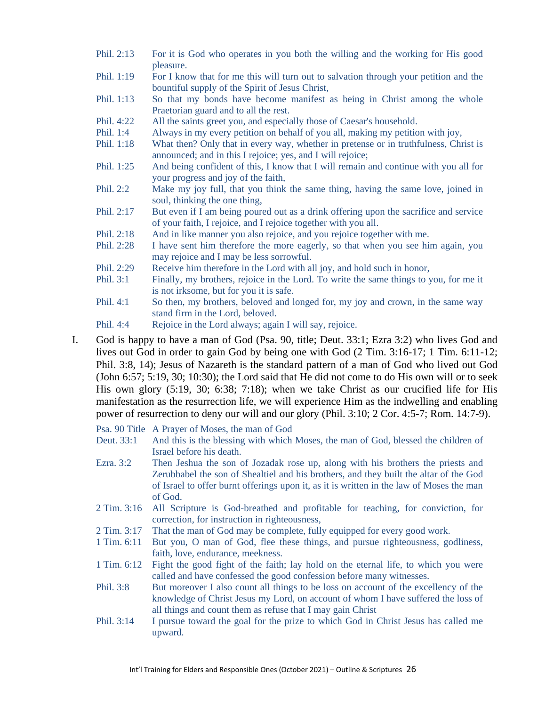| Phil. 2:13 | For it is God who operates in you both the willing and the working for His good<br>pleasure.                                                           |
|------------|--------------------------------------------------------------------------------------------------------------------------------------------------------|
| Phil. 1:19 | For I know that for me this will turn out to salvation through your petition and the<br>bountiful supply of the Spirit of Jesus Christ,                |
| Phil. 1:13 | So that my bonds have become manifest as being in Christ among the whole<br>Praetorian guard and to all the rest.                                      |
| Phil. 4:22 | All the saints greet you, and especially those of Caesar's household.                                                                                  |
| Phil. 1:4  | Always in my every petition on behalf of you all, making my petition with joy,                                                                         |
| Phil. 1:18 | What then? Only that in every way, whether in pretense or in truthfulness, Christ is<br>announced; and in this I rejoice; yes, and I will rejoice;     |
| Phil. 1:25 | And being confident of this, I know that I will remain and continue with you all for<br>your progress and joy of the faith,                            |
| Phil. 2:2  | Make my joy full, that you think the same thing, having the same love, joined in<br>soul, thinking the one thing,                                      |
| Phil. 2:17 | But even if I am being poured out as a drink offering upon the sacrifice and service<br>of your faith, I rejoice, and I rejoice together with you all. |
| Phil. 2:18 | And in like manner you also rejoice, and you rejoice together with me.                                                                                 |
| Phil. 2:28 | I have sent him therefore the more eagerly, so that when you see him again, you<br>may rejoice and I may be less sorrowful.                            |
| Phil. 2:29 | Receive him therefore in the Lord with all joy, and hold such in honor,                                                                                |
| Phil. 3:1  | Finally, my brothers, rejoice in the Lord. To write the same things to you, for me it<br>is not irksome, but for you it is safe.                       |
| Phil. 4:1  | So then, my brothers, beloved and longed for, my joy and crown, in the same way<br>stand firm in the Lord, beloved.                                    |
| Phil. 4:4  | Rejoice in the Lord always; again I will say, rejoice.                                                                                                 |

- I. God is happy to have a man of God (Psa. 90, title; Deut. 33:1; Ezra 3:2) who lives God and lives out God in order to gain God by being one with God (2 Tim. 3:16-17; 1 Tim. 6:11-12; Phil. 3:8, 14); Jesus of Nazareth is the standard pattern of a man of God who lived out God (John 6:57; 5:19, 30; 10:30); the Lord said that He did not come to do His own will or to seek His own glory (5:19, 30; 6:38; 7:18); when we take Christ as our crucified life for His manifestation as the resurrection life, we will experience Him as the indwelling and enabling power of resurrection to deny our will and our glory (Phil. 3:10; 2 Cor. 4:5-7; Rom. 14:7-9).
	- Psa. 90 Title A Prayer of Moses, the man of God
	- Deut. 33:1 And this is the blessing with which Moses, the man of God, blessed the children of Israel before his death.
	- Ezra. 3:2 Then Jeshua the son of Jozadak rose up, along with his brothers the priests and Zerubbabel the son of Shealtiel and his brothers, and they built the altar of the God of Israel to offer burnt offerings upon it, as it is written in the law of Moses the man of God.
	- 2 Tim. 3:16 All Scripture is God-breathed and profitable for teaching, for conviction, for correction, for instruction in righteousness,
	- 2 Tim. 3:17 That the man of God may be complete, fully equipped for every good work.
	- 1 Tim. 6:11 But you, O man of God, flee these things, and pursue righteousness, godliness, faith, love, endurance, meekness.
	- 1 Tim. 6:12 Fight the good fight of the faith; lay hold on the eternal life, to which you were called and have confessed the good confession before many witnesses.
	- Phil. 3:8 But moreover I also count all things to be loss on account of the excellency of the knowledge of Christ Jesus my Lord, on account of whom I have suffered the loss of all things and count them as refuse that I may gain Christ
	- Phil. 3:14 I pursue toward the goal for the prize to which God in Christ Jesus has called me upward.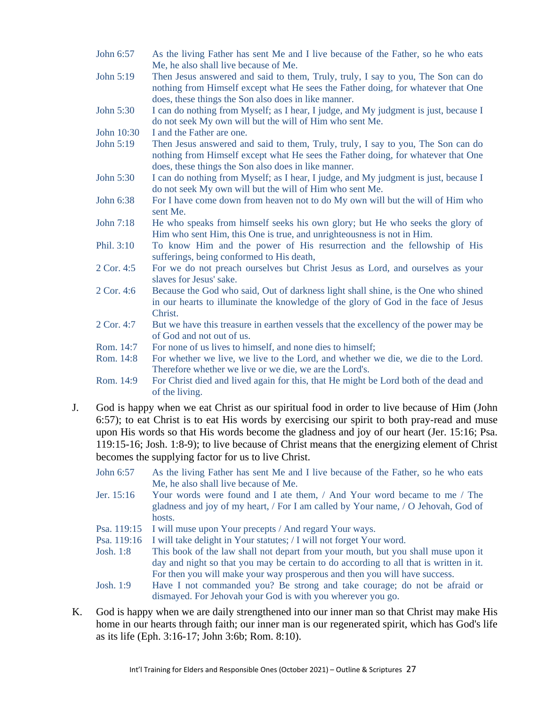- John 6:57 As the living Father has sent Me and I live because of the Father, so he who eats Me, he also shall live because of Me.
- John 5:19 Then Jesus answered and said to them, Truly, truly, I say to you, The Son can do nothing from Himself except what He sees the Father doing, for whatever that One does, these things the Son also does in like manner.
- John 5:30 I can do nothing from Myself; as I hear, I judge, and My judgment is just, because I do not seek My own will but the will of Him who sent Me.
- John 10:30 I and the Father are one.
- John 5:19 Then Jesus answered and said to them, Truly, truly, I say to you, The Son can do nothing from Himself except what He sees the Father doing, for whatever that One does, these things the Son also does in like manner.
- John 5:30 I can do nothing from Myself; as I hear, I judge, and My judgment is just, because I do not seek My own will but the will of Him who sent Me.
- John 6:38 For I have come down from heaven not to do My own will but the will of Him who sent Me.
- John 7:18 He who speaks from himself seeks his own glory; but He who seeks the glory of Him who sent Him, this One is true, and unrighteousness is not in Him.
- Phil. 3:10 To know Him and the power of His resurrection and the fellowship of His sufferings, being conformed to His death,
- 2 Cor. 4:5 For we do not preach ourselves but Christ Jesus as Lord, and ourselves as your slaves for Jesus' sake.
- 2 Cor. 4:6 Because the God who said, Out of darkness light shall shine, is the One who shined in our hearts to illuminate the knowledge of the glory of God in the face of Jesus Christ.
- 2 Cor. 4:7 But we have this treasure in earthen vessels that the excellency of the power may be of God and not out of us.
- Rom. 14:7 For none of us lives to himself, and none dies to himself;
- Rom. 14:8 For whether we live, we live to the Lord, and whether we die, we die to the Lord. Therefore whether we live or we die, we are the Lord's.
- Rom. 14:9 For Christ died and lived again for this, that He might be Lord both of the dead and of the living.
- J. God is happy when we eat Christ as our spiritual food in order to live because of Him (John 6:57); to eat Christ is to eat His words by exercising our spirit to both pray-read and muse upon His words so that His words become the gladness and joy of our heart (Jer. 15:16; Psa. 119:15-16; Josh. 1:8-9); to live because of Christ means that the energizing element of Christ becomes the supplying factor for us to live Christ.
	- John 6:57 As the living Father has sent Me and I live because of the Father, so he who eats Me, he also shall live because of Me.
	- Jer. 15:16 Your words were found and I ate them, / And Your word became to me / The gladness and joy of my heart, / For I am called by Your name, / O Jehovah, God of hosts.
	- Psa. 119:15 I will muse upon Your precepts / And regard Your ways.

Psa. 119:16 I will take delight in Your statutes; / I will not forget Your word.

- Josh. 1:8 This book of the law shall not depart from your mouth, but you shall muse upon it day and night so that you may be certain to do according to all that is written in it. For then you will make your way prosperous and then you will have success.
- Josh. 1:9 Have I not commanded you? Be strong and take courage; do not be afraid or dismayed. For Jehovah your God is with you wherever you go.
- K. God is happy when we are daily strengthened into our inner man so that Christ may make His home in our hearts through faith; our inner man is our regenerated spirit, which has God's life as its life (Eph. 3:16-17; John 3:6b; Rom. 8:10).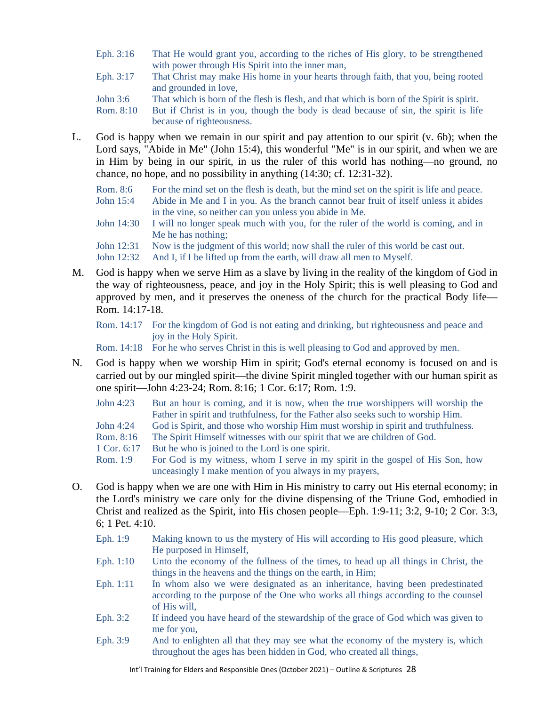- Eph. 3:16 That He would grant you, according to the riches of His glory, to be strengthened with power through His Spirit into the inner man,
- Eph. 3:17 That Christ may make His home in your hearts through faith, that you, being rooted and grounded in love,
- John 3:6 That which is born of the flesh is flesh, and that which is born of the Spirit is spirit.
- Rom. 8:10 But if Christ is in you, though the body is dead because of sin, the spirit is life because of righteousness.
- L. God is happy when we remain in our spirit and pay attention to our spirit (v. 6b); when the Lord says, "Abide in Me" (John 15:4), this wonderful "Me" is in our spirit, and when we are in Him by being in our spirit, in us the ruler of this world has nothing—no ground, no chance, no hope, and no possibility in anything (14:30; cf. 12:31-32).
	- Rom. 8:6 For the mind set on the flesh is death, but the mind set on the spirit is life and peace.
	- John 15:4 Abide in Me and I in you. As the branch cannot bear fruit of itself unless it abides in the vine, so neither can you unless you abide in Me.
	- John 14:30 I will no longer speak much with you, for the ruler of the world is coming, and in Me he has nothing;
	- John 12:31 Now is the judgment of this world; now shall the ruler of this world be cast out.
	- John 12:32 And I, if I be lifted up from the earth, will draw all men to Myself.
- M. God is happy when we serve Him as a slave by living in the reality of the kingdom of God in the way of righteousness, peace, and joy in the Holy Spirit; this is well pleasing to God and approved by men, and it preserves the oneness of the church for the practical Body life— Rom. 14:17-18.

Rom. 14:17 For the kingdom of God is not eating and drinking, but righteousness and peace and joy in the Holy Spirit.

Rom. 14:18 For he who serves Christ in this is well pleasing to God and approved by men.

- N. God is happy when we worship Him in spirit; God's eternal economy is focused on and is carried out by our mingled spirit—the divine Spirit mingled together with our human spirit as one spirit—John 4:23-24; Rom. 8:16; 1 Cor. 6:17; Rom. 1:9.
	- John 4:23 But an hour is coming, and it is now, when the true worshippers will worship the Father in spirit and truthfulness, for the Father also seeks such to worship Him.
	- John 4:24 God is Spirit, and those who worship Him must worship in spirit and truthfulness.
	- Rom. 8:16 The Spirit Himself witnesses with our spirit that we are children of God.
	- 1 Cor. 6:17 But he who is joined to the Lord is one spirit.
	- Rom. 1:9 For God is my witness, whom I serve in my spirit in the gospel of His Son, how unceasingly I make mention of you always in my prayers,
- O. God is happy when we are one with Him in His ministry to carry out His eternal economy; in the Lord's ministry we care only for the divine dispensing of the Triune God, embodied in Christ and realized as the Spirit, into His chosen people—Eph. 1:9-11; 3:2, 9-10; 2 Cor. 3:3, 6; 1 Pet. 4:10.
	- Eph. 1:9 Making known to us the mystery of His will according to His good pleasure, which He purposed in Himself,
	- Eph. 1:10 Unto the economy of the fullness of the times, to head up all things in Christ, the things in the heavens and the things on the earth, in Him;
	- Eph. 1:11 In whom also we were designated as an inheritance, having been predestinated according to the purpose of the One who works all things according to the counsel of His will,
	- Eph. 3:2 If indeed you have heard of the stewardship of the grace of God which was given to me for you,
	- Eph. 3:9 And to enlighten all that they may see what the economy of the mystery is, which throughout the ages has been hidden in God, who created all things,